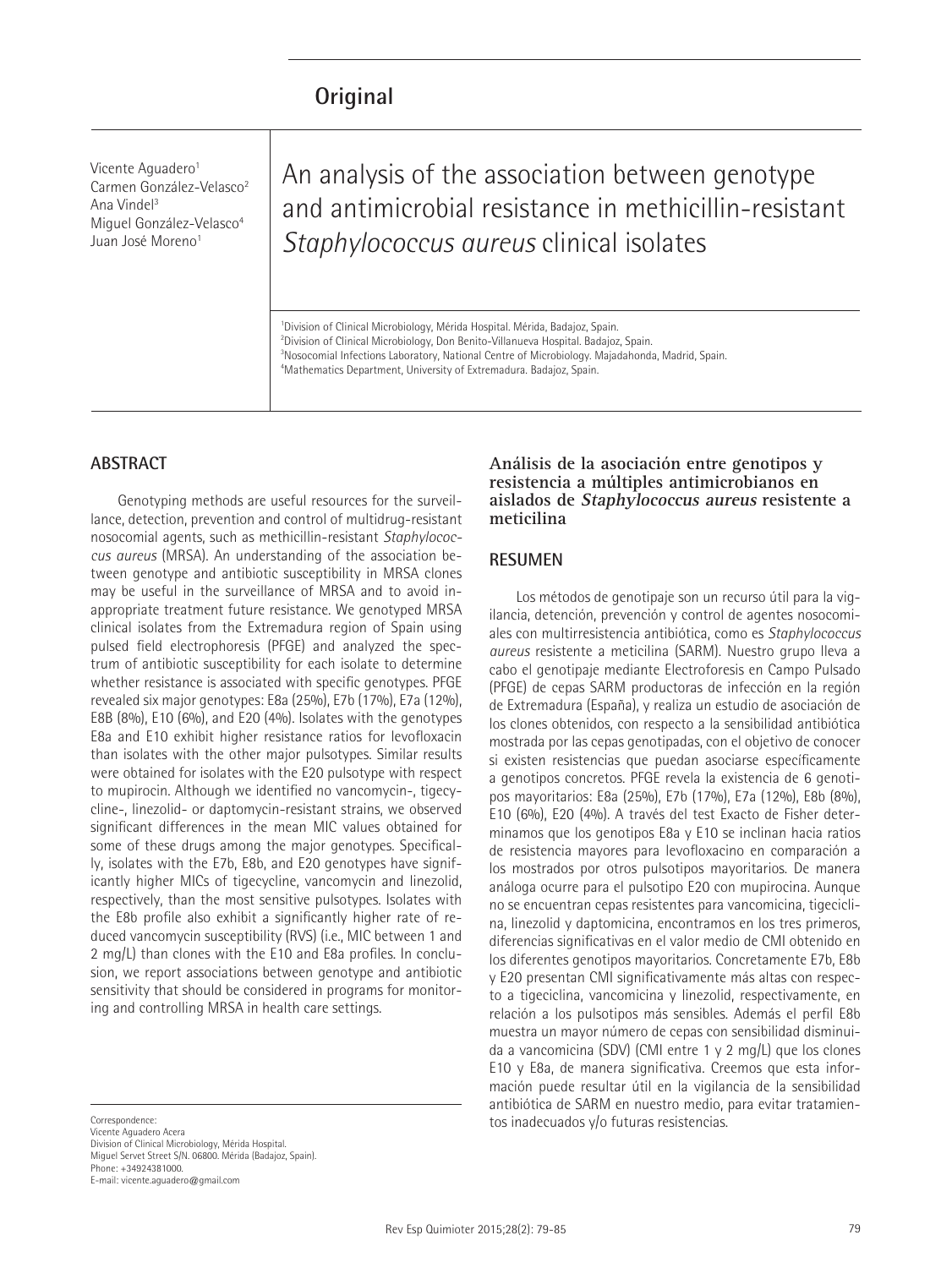# **Original**

Vicente Aguadero<sup>1</sup> Carmen González-Velasco<sup>2</sup> Ana Vindel3 Miguel González-Velasco<sup>4</sup> Juan José Moreno<sup>1</sup>

An analysis of the association between genotype and antimicrobial resistance in methicillin-resistant *Staphylococcus aureus* clinical isolates

<sup>1</sup>Division of Clinical Microbiology, Mérida Hospital. Mérida, Badajoz, Spain. Division of Clinical Microbiology, Don Benito-Villanueva Hospital. Badajoz, Spain. Nosocomial Infections Laboratory, National Centre of Microbiology. Majadahonda, Madrid, Spain. Mathematics Department, University of Extremadura. Badajoz, Spain.

#### **ABSTRACT**

Genotyping methods are useful resources for the surveillance, detection, prevention and control of multidrug-resistant nosocomial agents, such as methicillin-resistant *Staphylococcus aureus* (MRSA). An understanding of the association between genotype and antibiotic susceptibility in MRSA clones may be useful in the surveillance of MRSA and to avoid inappropriate treatment future resistance. We genotyped MRSA clinical isolates from the Extremadura region of Spain using pulsed field electrophoresis (PFGE) and analyzed the spectrum of antibiotic susceptibility for each isolate to determine whether resistance is associated with specific genotypes. PFGE revealed six major genotypes: E8a (25%), E7b (17%), E7a (12%), E8B (8%), E10 (6%), and E20 (4%). Isolates with the genotypes E8a and E10 exhibit higher resistance ratios for levofloxacin than isolates with the other major pulsotypes. Similar results were obtained for isolates with the E20 pulsotype with respect to mupirocin. Although we identified no vancomycin-, tigecycline-, linezolid- or daptomycin-resistant strains, we observed significant differences in the mean MIC values obtained for some of these drugs among the major genotypes. Specifically, isolates with the E7b, E8b, and E20 genotypes have significantly higher MICs of tigecycline, vancomycin and linezolid, respectively, than the most sensitive pulsotypes. Isolates with the E8b profile also exhibit a significantly higher rate of reduced vancomycin susceptibility (RVS) (i.e., MIC between 1 and 2 mg/L) than clones with the E10 and E8a profiles. In conclusion, we report associations between genotype and antibiotic sensitivity that should be considered in programs for monitoring and controlling MRSA in health care settings.

Correspondence: Vicente Aguadero Acera Division of Clinical Microbiology, Mérida Hospital. Miguel Servet Street S/N. 06800. Mérida (Badajoz, Spain). Phone: +34924381000. E-mail: vicente.aguadero@gmail.com

#### **Análisis de la asociación entre genotipos y resistencia a múltiples antimicrobianos en aislados de Staphylococcus aureus resistente a meticilina**

#### **RESUMEN**

Los métodos de genotipaje son un recurso útil para la vigilancia, detención, prevención y control de agentes nosocomiales con multirresistencia antibiótica, como es *Staphylococcus aureus* resistente a meticilina (SARM). Nuestro grupo lleva a cabo el genotipaje mediante Electroforesis en Campo Pulsado (PFGE) de cepas SARM productoras de infección en la región de Extremadura (España), y realiza un estudio de asociación de los clones obtenidos, con respecto a la sensibilidad antibiótica mostrada por las cepas genotipadas, con el objetivo de conocer si existen resistencias que puedan asociarse específicamente a genotipos concretos. PFGE revela la existencia de 6 genotipos mayoritarios: E8a (25%), E7b (17%), E7a (12%), E8b (8%), E10 (6%), E20 (4%). A través del test Exacto de Fisher determinamos que los genotipos E8a y E10 se inclinan hacia ratios de resistencia mayores para levofloxacino en comparación a los mostrados por otros pulsotipos mayoritarios. De manera análoga ocurre para el pulsotipo E20 con mupirocina. Aunque no se encuentran cepas resistentes para vancomicina, tigeciclina, linezolid y daptomicina, encontramos en los tres primeros, diferencias significativas en el valor medio de CMI obtenido en los diferentes genotipos mayoritarios. Concretamente E7b, E8b y E20 presentan CMI significativamente más altas con respecto a tigeciclina, vancomicina y linezolid, respectivamente, en relación a los pulsotipos más sensibles. Además el perfil E8b muestra un mayor número de cepas con sensibilidad disminuida a vancomicina (SDV) (CMI entre 1 y 2 mg/L) que los clones E10 y E8a, de manera significativa. Creemos que esta información puede resultar útil en la vigilancia de la sensibilidad antibiótica de SARM en nuestro medio, para evitar tratamientos inadecuados y/o futuras resistencias.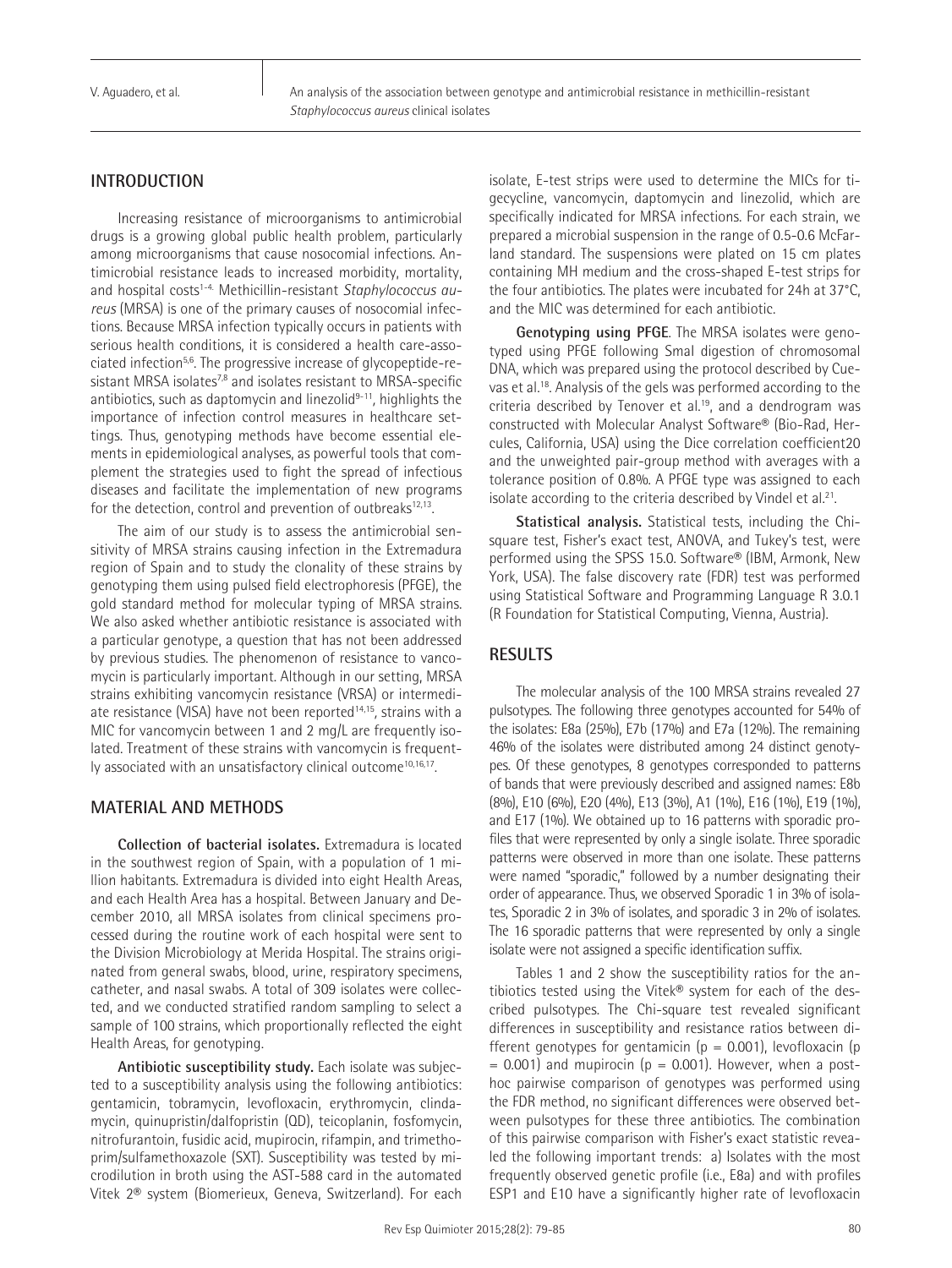V. Aguadero, et al.

An analysis of the association between genotype and antimicrobial resistance in methicillin-resistant *Staphylococcus aureus* clinical isolates

# **INTRODUCTION**

Increasing resistance of microorganisms to antimicrobial drugs is a growing global public health problem, particularly among microorganisms that cause nosocomial infections. Antimicrobial resistance leads to increased morbidity, mortality, and hospital costs<sup>1-4</sup>. Methicillin-resistant *Staphylococcus aureus* (MRSA) is one of the primary causes of nosocomial infections. Because MRSA infection typically occurs in patients with serious health conditions, it is considered a health care-associated infection5,6. The progressive increase of glycopeptide-resistant MRSA isolates<sup>7,8</sup> and isolates resistant to MRSA-specific antibiotics, such as daptomycin and linezolid9-11*,* highlights the importance of infection control measures in healthcare settings. Thus, genotyping methods have become essential elements in epidemiological analyses, as powerful tools that complement the strategies used to fight the spread of infectious diseases and facilitate the implementation of new programs for the detection, control and prevention of outbreaks<sup>12,13</sup>.

The aim of our study is to assess the antimicrobial sensitivity of MRSA strains causing infection in the Extremadura region of Spain and to study the clonality of these strains by genotyping them using pulsed field electrophoresis (PFGE), the gold standard method for molecular typing of MRSA strains. We also asked whether antibiotic resistance is associated with a particular genotype, a question that has not been addressed by previous studies. The phenomenon of resistance to vancomycin is particularly important. Although in our setting, MRSA strains exhibiting vancomycin resistance (VRSA) or intermediate resistance (VISA) have not been reported<sup>14,15</sup>, strains with a MIC for vancomycin between 1 and 2 mg/L are frequently isolated. Treatment of these strains with vancomycin is frequently associated with an unsatisfactory clinical outcome<sup>10,16,17</sup>.

# **MATERIAL AND METHODS**

**Collection of bacterial isolates.** Extremadura is located in the southwest region of Spain, with a population of 1 million habitants. Extremadura is divided into eight Health Areas, and each Health Area has a hospital. Between January and December 2010, all MRSA isolates from clinical specimens processed during the routine work of each hospital were sent to the Division Microbiology at Merida Hospital. The strains originated from general swabs, blood, urine, respiratory specimens, catheter, and nasal swabs. A total of 309 isolates were collected, and we conducted stratified random sampling to select a sample of 100 strains, which proportionally reflected the eight Health Areas, for genotyping.

**Antibiotic susceptibility study.** Each isolate was subjected to a susceptibility analysis using the following antibiotics: gentamicin, tobramycin, levofloxacin, erythromycin, clindamycin, quinupristin/dalfopristin (QD), teicoplanin, fosfomycin, nitrofurantoin, fusidic acid, mupirocin, rifampin, and trimethoprim/sulfamethoxazole (SXT). Susceptibility was tested by microdilution in broth using the AST-588 card in the automated Vitek 2® system (Biomerieux, Geneva, Switzerland). For each

isolate, E-test strips were used to determine the MICs for tigecycline, vancomycin, daptomycin and linezolid, which are specifically indicated for MRSA infections. For each strain, we prepared a microbial suspension in the range of 0.5-0.6 McFarland standard. The suspensions were plated on 15 cm plates containing MH medium and the cross-shaped E-test strips for the four antibiotics. The plates were incubated for 24h at 37°C, and the MIC was determined for each antibiotic.

**Genotyping using PFGE**. The MRSA isolates were genotyped using PFGE following SmaI digestion of chromosomal DNA, which was prepared using the protocol described by Cuevas et al.18. Analysis of the gels was performed according to the criteria described by Tenover et al.<sup>19</sup>, and a dendrogram was constructed with Molecular Analyst Software® (Bio-Rad, Hercules, California, USA) using the Dice correlation coefficient20 and the unweighted pair-group method with averages with a tolerance position of 0.8%. A PFGE type was assigned to each isolate according to the criteria described by Vindel et al.<sup>21</sup>.

**Statistical analysis.** Statistical tests, including the Chisquare test, Fisher's exact test, ANOVA, and Tukey's test, were performed using the SPSS 15.0. Software® (IBM, Armonk, New York, USA). The false discovery rate (FDR) test was performed using Statistical Software and Programming Language R 3.0.1 (R Foundation for Statistical Computing, Vienna, Austria).

# **RESULTS**

The molecular analysis of the 100 MRSA strains revealed 27 pulsotypes. The following three genotypes accounted for 54% of the isolates: E8a (25%), E7b (17%) and E7a (12%). The remaining 46% of the isolates were distributed among 24 distinct genotypes. Of these genotypes, 8 genotypes corresponded to patterns of bands that were previously described and assigned names: E8b (8%), E10 (6%), E20 (4%), E13 (3%), A1 (1%), E16 (1%), E19 (1%), and E17 (1%). We obtained up to 16 patterns with sporadic profiles that were represented by only a single isolate. Three sporadic patterns were observed in more than one isolate. These patterns were named "sporadic," followed by a number designating their order of appearance. Thus, we observed Sporadic 1 in 3% of isolates, Sporadic 2 in 3% of isolates, and sporadic 3 in 2% of isolates. The 16 sporadic patterns that were represented by only a single isolate were not assigned a specific identification suffix.

Tables 1 and 2 show the susceptibility ratios for the antibiotics tested using the Vitek® system for each of the described pulsotypes. The Chi-square test revealed significant differences in susceptibility and resistance ratios between different genotypes for gentamicin ( $p = 0.001$ ), levofloxacin (p  $= 0.001$ ) and mupirocin ( $p = 0.001$ ). However, when a posthoc pairwise comparison of genotypes was performed using the FDR method, no significant differences were observed between pulsotypes for these three antibiotics. The combination of this pairwise comparison with Fisher's exact statistic revealed the following important trends: a) Isolates with the most frequently observed genetic profile (i.e., E8a) and with profiles ESP1 and E10 have a significantly higher rate of levofloxacin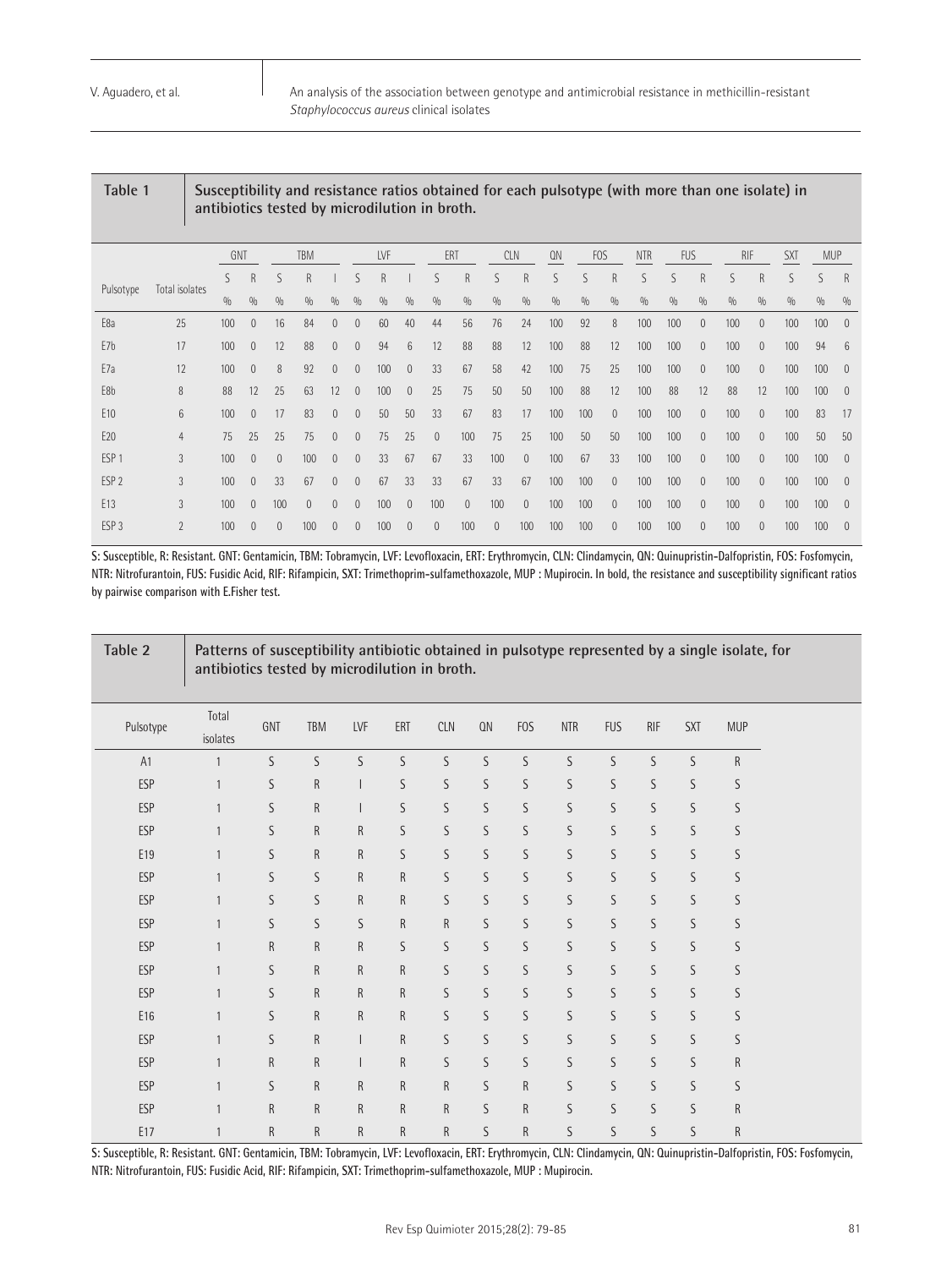Pulso

An analysis of the association between genotype and antimicrobial resistance in methicillin-resistant *Staphylococcus aureus* clinical isolates

|                  |                |     |                |          |              |                |                |     |                | antibiotics tested by microdilution in broth. |              |            |                |     |            |              |            |            |                |            |              |            |            |              |
|------------------|----------------|-----|----------------|----------|--------------|----------------|----------------|-----|----------------|-----------------------------------------------|--------------|------------|----------------|-----|------------|--------------|------------|------------|----------------|------------|--------------|------------|------------|--------------|
|                  |                | GNT |                |          | <b>TBM</b>   |                |                | LVF |                | ERT                                           |              | <b>CLN</b> |                | QN  | <b>FOS</b> |              | <b>NTR</b> | <b>FUS</b> |                | <b>RIF</b> |              | <b>SXT</b> | <b>MUP</b> |              |
|                  |                | S   | R              | S        | $\mathsf{R}$ |                | S              | R   |                | S                                             | $\mathsf{R}$ | S          | $\mathsf{R}$   | S   | S          | $\mathsf{R}$ | S          | ς          | R              | ς          | $\mathsf{R}$ | ς          | S          | $\mathsf{R}$ |
| Pulsotype        | Total isolates | 0/0 | 0/0            | 0/0      | 0/0          | 0/0            | 0/0            | 0/0 | 0/0            | 0/0                                           | 0/0          | 0/0        | 0/0            | 0/0 | 0/0        | 0/0          | 0/0        | 0/0        | 0/0            | 0/0        | 0/0          | 0/0        | 0/0        | 0/6          |
| E8a              | 25             | 100 | $\overline{0}$ | 16       | 84           | $\overline{0}$ | $\theta$       | 60  | 40             | 44                                            | 56           | 76         | 24             | 100 | 92         | 8            | 100        | 100        | 0              | 100        | $\mathbf{0}$ | 100        | 100        | $\theta$     |
| E7b              | 17             | 100 | $\theta$       | 12       | 88           | $\theta$       | 0              | 94  | $6\phantom{1}$ | 12                                            | 88           | 88         | 12             | 100 | 88         | 12           | 100        | 100        | 0              | 100        | $\mathbf{0}$ | 100        | 94         | 6            |
| E7a              | 12             | 100 | $\theta$       | 8        | 92           | $\theta$       | $\theta$       | 100 | $\theta$       | 33                                            | 67           | 58         | 42             | 100 | 75         | 25           | 100        | 100        | 0              | 100        | $\mathbf{0}$ | 100        | 100        | $\theta$     |
| E8b              | 8              | 88  | 12             | 25       | 63           | 12             | $\mathbf{0}$   | 100 | $\mathbf{0}$   | 25                                            | 75           | 50         | 50             | 100 | 88         | 12           | 100        | 88         | 12             | 88         | 12           | 100        | 100        | $\theta$     |
| E <sub>10</sub>  | 6              | 100 | $\overline{0}$ | 17       | 83           | $\overline{0}$ | $\theta$       | 50  | 50             | 33                                            | 67           | 83         | 17             | 100 | 100        | $\theta$     | 100        | 100        | 0              | 100        | $\mathbf{0}$ | 100        | 83         | 17           |
| E20              | $\overline{4}$ | 75  | 25             | 25       | 75           | $\theta$       | $\mathbf{0}$   | 75  | 25             | $\overline{0}$                                | 100          | 75         | 25             | 100 | 50         | 50           | 100        | 100        | 0              | 100        | $\mathbf{0}$ | 100        | 50         | 50           |
| ESP <sub>1</sub> | 3              | 100 | $\theta$       | $\theta$ | 100          | $\overline{0}$ | $\overline{0}$ | 33  | 67             | 67                                            | 33           | 100        | $\overline{0}$ | 100 | 67         | 33           | 100        | 100        | $\overline{0}$ | 100        | $\mathbf{0}$ | 100        | 100        | $\theta$     |
| ESP <sub>2</sub> | 3              | 100 | $\overline{0}$ | 33       | 67           | $\theta$       | $\theta$       | 67  | 33             | 33                                            | 67           | 33         | 67             | 100 | 100        | $\theta$     | 100        | 100        | 0              | 100        | $\mathbf{0}$ | 100        | 100        | $\theta$     |
| E13              | 3              | 100 | $\mathbf{0}$   | 100      | $\theta$     | $\mathbf{0}$   | $\theta$       | 100 | $\theta$       | 100                                           | $\theta$     | 100        | $\overline{0}$ | 100 | 100        | $\mathbf{0}$ | 100        | 100        | 0              | 100        | $\mathbf{0}$ | 100        | 100        | $\theta$     |

Table 1 Susceptibility and resistance ratios obtained for each pulsotype (with more than one isolate) in

**S: Susceptible, R: Resistant. GNT: Gentamicin, TBM: Tobramycin, LVF: Levofloxacin, ERT: Erythromycin, CLN: Clindamycin, QN: Quinupristin-Dalfopristin, FOS: Fosfomycin, NTR: Nitrofurantoin, FUS: Fusidic Acid, RIF: Rifampicin, SXT: Trimethoprim-sulfamethoxazole, MUP : Mupirocin. In bold, the resistance and susceptibility significant ratios by pairwise comparison with E.Fisher test.**

ESP 3 2 100 0 0 100 0 0 100 0 0 100 0 100 100 100 0 100 100 0 100 0 100 100 0

| Table 2    | Patterns of susceptibility antibiotic obtained in pulsotype represented by a single isolate, for<br>antibiotics tested by microdilution in broth. |              |              |              |              |              |    |              |             |             |             |            |              |  |
|------------|---------------------------------------------------------------------------------------------------------------------------------------------------|--------------|--------------|--------------|--------------|--------------|----|--------------|-------------|-------------|-------------|------------|--------------|--|
| Pulsotype  | Total<br>isolates                                                                                                                                 | GNT          | <b>TBM</b>   | LVF          | ERT          | <b>CLN</b>   | QN | <b>FOS</b>   | <b>NTR</b>  | <b>FUS</b>  | <b>RIF</b>  | <b>SXT</b> | <b>MUP</b>   |  |
| A1         | 1                                                                                                                                                 | S            | S            | S            | S            | S            | S  | S            | S           | S           | S           | S          | $\mathsf{R}$ |  |
| <b>ESP</b> | 1                                                                                                                                                 | S            | ${\sf R}$    |              | S            | S            | S  | S            | S           | S           | S           | S          | S            |  |
| <b>ESP</b> |                                                                                                                                                   | S            | R            |              | S            | S            | S  | S            | S           | S           | S           | S          | S            |  |
| <b>ESP</b> |                                                                                                                                                   | S            | $\mathsf{R}$ | $\mathsf{R}$ | S            | S            | S  | S            | S           | $\mathsf S$ | $\mathsf S$ | S          | S            |  |
| E19        | $\mathbf{1}$                                                                                                                                      | S            | $\mathsf{R}$ | $\mathsf{R}$ | S            | S            | S  | S            | S           | S           | S           | S          | S            |  |
| <b>ESP</b> | $\mathbf{1}$                                                                                                                                      | S            | S            | ${\sf R}$    | $\mathsf R$  | S            | S  | S            | S           | $\mathsf S$ | $\mathsf S$ | S          | S            |  |
| <b>ESP</b> |                                                                                                                                                   | S            | S            | $\mathsf{R}$ | $\mathsf R$  | S            | S  | S            | $\mathsf S$ | $\mathsf S$ | S           | S          | S            |  |
| ESP        | $\mathbf{1}$                                                                                                                                      | S            | S            | S            | $\mathsf{R}$ | $\mathsf{R}$ | S  | S            | S           | S           | S           | S          | S            |  |
| <b>ESP</b> |                                                                                                                                                   | ${\sf R}$    | $\mathsf{R}$ | $\mathsf{R}$ | S            | S            | S  | S            | S           | S           | S           | S          | S            |  |
| <b>ESP</b> |                                                                                                                                                   | S            | $\mathsf R$  | ${\sf R}$    | $\mathsf R$  | S            | S  | S            | S           | S           | S           | S          | S            |  |
| <b>ESP</b> |                                                                                                                                                   | S            | $\mathsf{R}$ | $\mathsf{R}$ | $\mathsf{R}$ | S            | S  | S            | S           | $\mathsf S$ | S           | S          | S            |  |
| E16        | $\mathbf{1}$                                                                                                                                      | S            | $\mathsf{R}$ | $\mathsf{R}$ | R            | S            | S  | S            | S           | S           | S           | S          | S            |  |
| ESP        | $\mathbf{1}$                                                                                                                                      | S            | $\mathsf R$  |              | $\mathsf R$  | S            | S  | S            | S           | $\mathsf S$ | $\mathsf S$ | S          | S            |  |
| <b>ESP</b> | $\mathbf{1}$                                                                                                                                      | $\mathsf R$  | $\mathsf R$  |              | $\mathsf R$  | S            | S  | S            | $\mathsf S$ | S           | S           | S          | R            |  |
| <b>ESP</b> | $\mathbf{1}$                                                                                                                                      | S            | ${\sf R}$    | $\mathsf{R}$ | $\mathsf{R}$ | $\mathsf{R}$ | S  | $\mathsf{R}$ | $\mathsf S$ | S           | S           | S          | S            |  |
| <b>ESP</b> | $\mathbf{1}$                                                                                                                                      | $\mathsf{R}$ | $\mathsf{R}$ | $\mathsf{R}$ | $\mathsf{R}$ | $\mathsf{R}$ | S  | $\mathsf{R}$ | S           | S           | S           | S          | R            |  |
| E17        |                                                                                                                                                   | $\mathsf R$  | $\mathsf R$  | $\mathsf{R}$ | $\mathsf{R}$ | $\mathsf R$  | S  | $\mathsf R$  | S           | S           | S           | S          | R            |  |

**S: Susceptible, R: Resistant. GNT: Gentamicin, TBM: Tobramycin, LVF: Levofloxacin, ERT: Erythromycin, CLN: Clindamycin, QN: Quinupristin-Dalfopristin, FOS: Fosfomycin, NTR: Nitrofurantoin, FUS: Fusidic Acid, RIF: Rifampicin, SXT: Trimethoprim-sulfamethoxazole, MUP : Mupirocin.**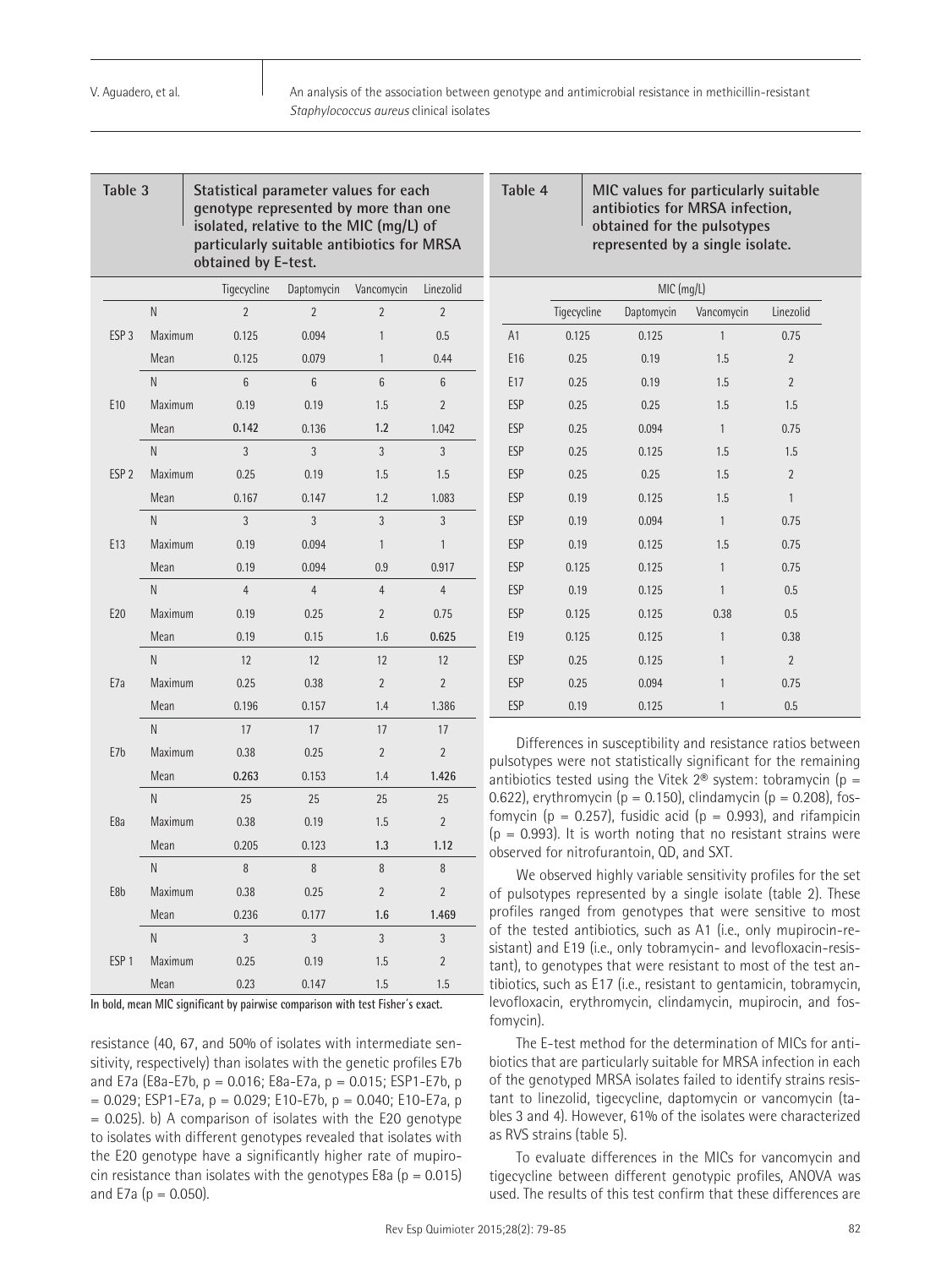| Table 3                          |         | obtained by E-test. | Statistical parameter values for each<br>genotype represented by more than one<br>isolated, relative to the MIC (mq/L) of<br>particularly suitable antibiotics for MRSA |                |                |  |
|----------------------------------|---------|---------------------|-------------------------------------------------------------------------------------------------------------------------------------------------------------------------|----------------|----------------|--|
|                                  |         | Tigecycline         | Daptomycin                                                                                                                                                              | Vancomycin     | Linezolid      |  |
|                                  | N       | $\overline{2}$      | $\overline{2}$                                                                                                                                                          | $\overline{2}$ | $\overline{2}$ |  |
| ESP <sub>3</sub><br>Maximum      |         | 0.125               | 0.094                                                                                                                                                                   | $\mathbf{1}$   | 0.5            |  |
|                                  | Mean    | 0.125               | 0.079                                                                                                                                                                   | 1              | 0.44           |  |
|                                  | N       | 6                   | 6                                                                                                                                                                       | 6              | 6              |  |
| E <sub>10</sub>                  | Maximum | 0.19                | 0.19                                                                                                                                                                    | 1.5            | $\overline{2}$ |  |
|                                  | Mean    | 0.142               | 0.136                                                                                                                                                                   | 1.2            | 1.042          |  |
|                                  | N       | 3                   | 3                                                                                                                                                                       | 3              | 3              |  |
| ESP <sub>2</sub><br>Maximum      |         | 0.25                | 0.19                                                                                                                                                                    | 1.5            | 1.5            |  |
| Mean                             |         | 0.167               | 0.147                                                                                                                                                                   | 1.2            | 1.083          |  |
|                                  | N       | 3                   | 3                                                                                                                                                                       | 3              | 3              |  |
| E13<br>Maximum                   |         | 0.19                | 0.094                                                                                                                                                                   | $\mathbf{1}$   | 1              |  |
|                                  | Mean    | 0.19                | 0.094                                                                                                                                                                   | 0.9            | 0.917          |  |
|                                  | N       | $\overline{4}$      | $\overline{4}$                                                                                                                                                          | $\overline{4}$ | $\overline{4}$ |  |
| E20<br>Maximum                   |         | 0.19                | 0.25                                                                                                                                                                    | $\overline{2}$ | 0.75           |  |
|                                  | Mean    | 0.19                | 0.15                                                                                                                                                                    | 1.6            | 0.625          |  |
| N<br>E <sub>7</sub> a<br>Maximum |         | 12                  | 12                                                                                                                                                                      | 12             | 12             |  |
|                                  |         | 0.25                | 0.38                                                                                                                                                                    | $\overline{2}$ | $\overline{2}$ |  |
|                                  | Mean    | 0.196               | 0.157                                                                                                                                                                   | 1.4            | 1.386          |  |
|                                  | N       | 17                  | 17                                                                                                                                                                      | 17             | 17             |  |
| E <sub>7b</sub>                  | Maximum | 0.38                | 0.25                                                                                                                                                                    | $\overline{2}$ | $\overline{2}$ |  |
|                                  | Mean    | 0.263               | 0.153                                                                                                                                                                   | 1.4            | 1.426          |  |
|                                  | N       | 25                  | 25                                                                                                                                                                      | 25             | 25             |  |
| E8a                              | Maximum | 0.38                | 0.19                                                                                                                                                                    | 1.5            | $\overline{2}$ |  |
|                                  | Mean    | 0.205               | 0.123                                                                                                                                                                   | 1.3            | 1.12           |  |
|                                  | N       | 8                   | 8                                                                                                                                                                       | 8              | 8              |  |
| E8b                              | Maximum | 0.38                | 0.25                                                                                                                                                                    | $\overline{2}$ | $\overline{2}$ |  |
|                                  | Mean    | 0.236               | 0.177                                                                                                                                                                   | 1.6            | 1.469          |  |
|                                  | N       | 3                   | 3                                                                                                                                                                       | 3              | 3              |  |
| ESP <sub>1</sub>                 | Maximum | 0.25                | 0.19                                                                                                                                                                    | 1.5            | $\overline{2}$ |  |
|                                  | Mean    | 0.23                | 0.147                                                                                                                                                                   | 1.5            | 1.5            |  |

**In bold, mean MIC significant by pairwise comparison with test Fisher´s exact.**

resistance (40, 67, and 50% of isolates with intermediate sensitivity, respectively) than isolates with the genetic profiles E7b and E7a (E8a-E7b, p = 0.016; E8a-E7a, p = 0.015; ESP1-E7b, p  $= 0.029$ ; ESP1-E7a, p  $= 0.029$ ; E10-E7b, p  $= 0.040$ ; E10-E7a, p  $= 0.025$ . b) A comparison of isolates with the E20 genotype to isolates with different genotypes revealed that isolates with the E20 genotype have a significantly higher rate of mupirocin resistance than isolates with the genotypes E8a ( $p = 0.015$ ) and E7a ( $p = 0.050$ ).

### **Table 4 MIC values for particularly suitable antibiotics for MRSA infection, obtained for the pulsotypes represented by a single isolate.**

|            | MIC (mg/L)  |            |                |                |  |  |  |  |  |
|------------|-------------|------------|----------------|----------------|--|--|--|--|--|
|            | Tigecycline | Daptomycin | Vancomycin     | Linezolid      |  |  |  |  |  |
| A1         | 0.125       | 0.125      | $\mathbf{1}$   | 0.75           |  |  |  |  |  |
| E16        | 0.25        | 0.19       | 1.5            | $\overline{2}$ |  |  |  |  |  |
| E17        | 0.25        | 0.19       | 1.5            | $\overline{2}$ |  |  |  |  |  |
| <b>ESP</b> | 0.25        | 0.25       | 1.5            | 1.5            |  |  |  |  |  |
| <b>ESP</b> | 0.25        | 0.094      | $\mathbf{1}$   | 0.75           |  |  |  |  |  |
| <b>ESP</b> | 0.25        | 0.125      | 1.5            | 1.5            |  |  |  |  |  |
| <b>ESP</b> | 0.25        | 0.25       | 1.5            | $\overline{2}$ |  |  |  |  |  |
| <b>ESP</b> | 0.19        | 0.125      | 1.5            | $\mathbf{1}$   |  |  |  |  |  |
| <b>ESP</b> | 0.19        | 0.094      | $\overline{1}$ | 0.75           |  |  |  |  |  |
| <b>ESP</b> | 0.19        | 0.125      | 1.5            | 0.75           |  |  |  |  |  |
| <b>ESP</b> | 0.125       | 0.125      | 1              | 0.75           |  |  |  |  |  |
| <b>ESP</b> | 0.19        | 0.125      | $\mathbf{1}$   | 0.5            |  |  |  |  |  |
| <b>ESP</b> | 0.125       | 0.125      | 0.38           | 0.5            |  |  |  |  |  |
| E19        | 0.125       | 0.125      | 1              | 0.38           |  |  |  |  |  |
| <b>ESP</b> | 0.25        | 0.125      | $\mathbf{1}$   | $\overline{2}$ |  |  |  |  |  |
| <b>ESP</b> | 0.25        | 0.094      | $\mathbf{1}$   | 0.75           |  |  |  |  |  |
| <b>ESP</b> | 0.19        | 0.125      | 1              | 0.5            |  |  |  |  |  |

Differences in susceptibility and resistance ratios between pulsotypes were not statistically significant for the remaining antibiotics tested using the Vitek  $2^{\circ}$  system: tobramycin (p = 0.622), erythromycin ( $p = 0.150$ ), clindamycin ( $p = 0.208$ ), fosfomycin ( $p = 0.257$ ), fusidic acid ( $p = 0.993$ ), and rifampicin  $(p = 0.993)$ . It is worth noting that no resistant strains were observed for nitrofurantoin, QD, and SXT.

We observed highly variable sensitivity profiles for the set of pulsotypes represented by a single isolate (table 2). These profiles ranged from genotypes that were sensitive to most of the tested antibiotics, such as A1 (i.e., only mupirocin-resistant) and E19 (i.e., only tobramycin- and levofloxacin-resistant), to genotypes that were resistant to most of the test antibiotics, such as E17 (i.e., resistant to gentamicin, tobramycin, levofloxacin, erythromycin, clindamycin, mupirocin, and fosfomycin).

The E-test method for the determination of MICs for antibiotics that are particularly suitable for MRSA infection in each of the genotyped MRSA isolates failed to identify strains resistant to linezolid, tigecycline, daptomycin or vancomycin (tables 3 and 4). However, 61% of the isolates were characterized as RVS strains (table 5).

To evaluate differences in the MICs for vancomycin and tigecycline between different genotypic profiles, ANOVA was used. The results of this test confirm that these differences are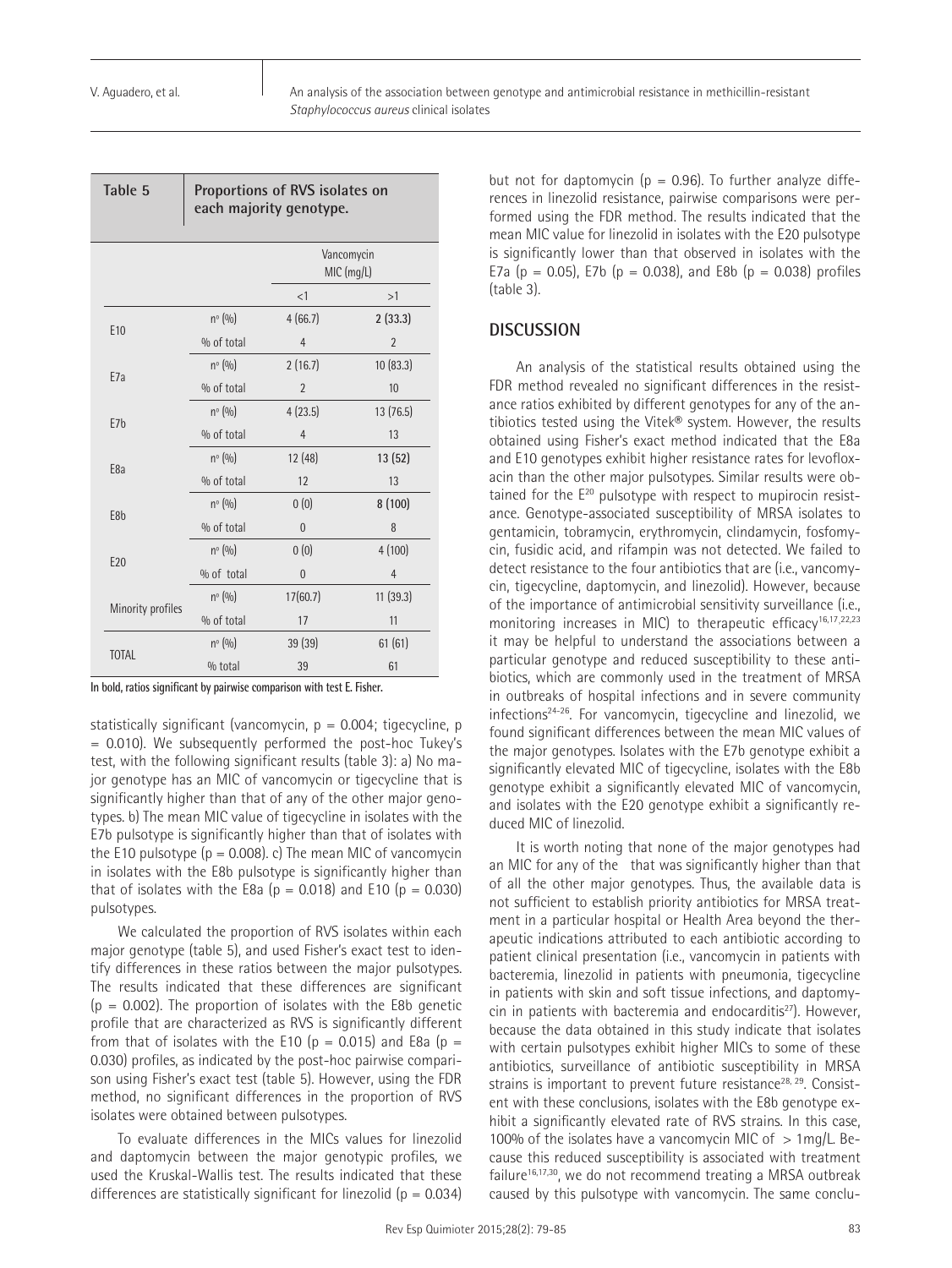| Table 5           | Proportions of RVS isolates on<br>each majority genotype. |                |                          |  |  |  |  |  |
|-------------------|-----------------------------------------------------------|----------------|--------------------------|--|--|--|--|--|
|                   |                                                           |                | Vancomycin<br>MIC (mg/L) |  |  |  |  |  |
|                   |                                                           | <1             | >1                       |  |  |  |  |  |
| E <sub>10</sub>   | nº (%)                                                    | 4(66.7)        | 2(33.3)                  |  |  |  |  |  |
|                   | % of total                                                | $\overline{4}$ | $\overline{2}$           |  |  |  |  |  |
| E <sub>7a</sub>   | $n^{\circ}$ (%)                                           | 2(16.7)        | 10 (83.3)                |  |  |  |  |  |
|                   | % of total                                                | $\overline{2}$ | 10                       |  |  |  |  |  |
| E7 <sub>b</sub>   | $n^{\circ} (0)$                                           | 4(23.5)        | 13 (76.5)                |  |  |  |  |  |
|                   | % of total                                                | $\overline{4}$ | 13                       |  |  |  |  |  |
| E <sub>8a</sub>   | $n^{\circ}$ (%)                                           | 12(48)         | 13(52)                   |  |  |  |  |  |
|                   | % of total                                                | 12             | 13                       |  |  |  |  |  |
| E <sub>8</sub> b  | $n^{\circ}$ (%)                                           | 0(0)           | 8(100)                   |  |  |  |  |  |
|                   | % of total                                                | $\overline{0}$ | 8                        |  |  |  |  |  |
| E <sub>20</sub>   | $n^{\circ}$ (%)                                           | 0(0)           | 4(100)                   |  |  |  |  |  |
|                   | % of total                                                | $\overline{0}$ | $\overline{4}$           |  |  |  |  |  |
|                   | $n^{\circ}$ (%)                                           | 17(60.7)       | 11(39.3)                 |  |  |  |  |  |
| Minority profiles | % of total                                                | 17             | 11                       |  |  |  |  |  |
| <b>TOTAL</b>      | $n^{\circ}$ (%)                                           | 39 (39)        | 61(61)                   |  |  |  |  |  |
|                   | $%$ total                                                 | 39             | 61                       |  |  |  |  |  |

**In bold, ratios significant by pairwise comparison with test E. Fisher.**

statistically significant (vancomycin,  $p = 0.004$ ; tigecycline, p = 0.010). We subsequently performed the post-hoc Tukey's test, with the following significant results (table 3): a) No major genotype has an MIC of vancomycin or tigecycline that is significantly higher than that of any of the other major genotypes. b) The mean MIC value of tigecycline in isolates with the E7b pulsotype is significantly higher than that of isolates with the E10 pulsotype  $(p = 0.008)$ . c) The mean MIC of vancomycin in isolates with the E8b pulsotype is significantly higher than that of isolates with the E8a ( $p = 0.018$ ) and E10 ( $p = 0.030$ ) pulsotypes.

We calculated the proportion of RVS isolates within each major genotype (table 5), and used Fisher's exact test to identify differences in these ratios between the major pulsotypes. The results indicated that these differences are significant  $(p = 0.002)$ . The proportion of isolates with the E8b genetic profile that are characterized as RVS is significantly different from that of isolates with the E10 ( $p = 0.015$ ) and E8a ( $p =$ 0.030) profiles, as indicated by the post-hoc pairwise comparison using Fisher's exact test (table 5). However, using the FDR method, no significant differences in the proportion of RVS isolates were obtained between pulsotypes.

To evaluate differences in the MICs values for linezolid and daptomycin between the major genotypic profiles, we used the Kruskal-Wallis test. The results indicated that these differences are statistically significant for linezolid ( $p = 0.034$ ) but not for daptomycin ( $p = 0.96$ ). To further analyze differences in linezolid resistance, pairwise comparisons were performed using the FDR method. The results indicated that the mean MIC value for linezolid in isolates with the E20 pulsotype is significantly lower than that observed in isolates with the E7a ( $p = 0.05$ ), E7b ( $p = 0.038$ ), and E8b ( $p = 0.038$ ) profiles (table 3).

#### **DISCUSSION**

An analysis of the statistical results obtained using the FDR method revealed no significant differences in the resistance ratios exhibited by different genotypes for any of the antibiotics tested using the Vitek® system. However, the results obtained using Fisher's exact method indicated that the E8a and E10 genotypes exhibit higher resistance rates for levofloxacin than the other major pulsotypes. Similar results were obtained for the E<sup>20</sup> pulsotype with respect to mupirocin resistance. Genotype-associated susceptibility of MRSA isolates to gentamicin, tobramycin, erythromycin, clindamycin, fosfomycin, fusidic acid, and rifampin was not detected. We failed to detect resistance to the four antibiotics that are (i.e., vancomycin, tigecycline, daptomycin, and linezolid). However, because of the importance of antimicrobial sensitivity surveillance (i.e., monitoring increases in MIC) to therapeutic efficacy<sup>16,17,22,23</sup> it may be helpful to understand the associations between a particular genotype and reduced susceptibility to these antibiotics, which are commonly used in the treatment of MRSA in outbreaks of hospital infections and in severe community infections<sup>24-26</sup>. For vancomycin, tigecycline and linezolid, we found significant differences between the mean MIC values of the major genotypes. Isolates with the E7b genotype exhibit a significantly elevated MIC of tigecycline, isolates with the E8b genotype exhibit a significantly elevated MIC of vancomycin, and isolates with the E20 genotype exhibit a significantly reduced MIC of linezolid.

It is worth noting that none of the major genotypes had an MIC for any of the that was significantly higher than that of all the other major genotypes. Thus, the available data is not sufficient to establish priority antibiotics for MRSA treatment in a particular hospital or Health Area beyond the therapeutic indications attributed to each antibiotic according to patient clinical presentation (i.e., vancomycin in patients with bacteremia, linezolid in patients with pneumonia, tigecycline in patients with skin and soft tissue infections, and daptomycin in patients with bacteremia and endocarditis<sup>27</sup>). However, because the data obtained in this study indicate that isolates with certain pulsotypes exhibit higher MICs to some of these antibiotics, surveillance of antibiotic susceptibility in MRSA strains is important to prevent future resistance<sup>28, 29</sup>. Consistent with these conclusions, isolates with the E8b genotype exhibit a significantly elevated rate of RVS strains. In this case, 100% of the isolates have a vancomycin MIC of  $> 1$ mg/L. Because this reduced susceptibility is associated with treatment failure<sup>16,17,30</sup>, we do not recommend treating a MRSA outbreak caused by this pulsotype with vancomycin. The same conclu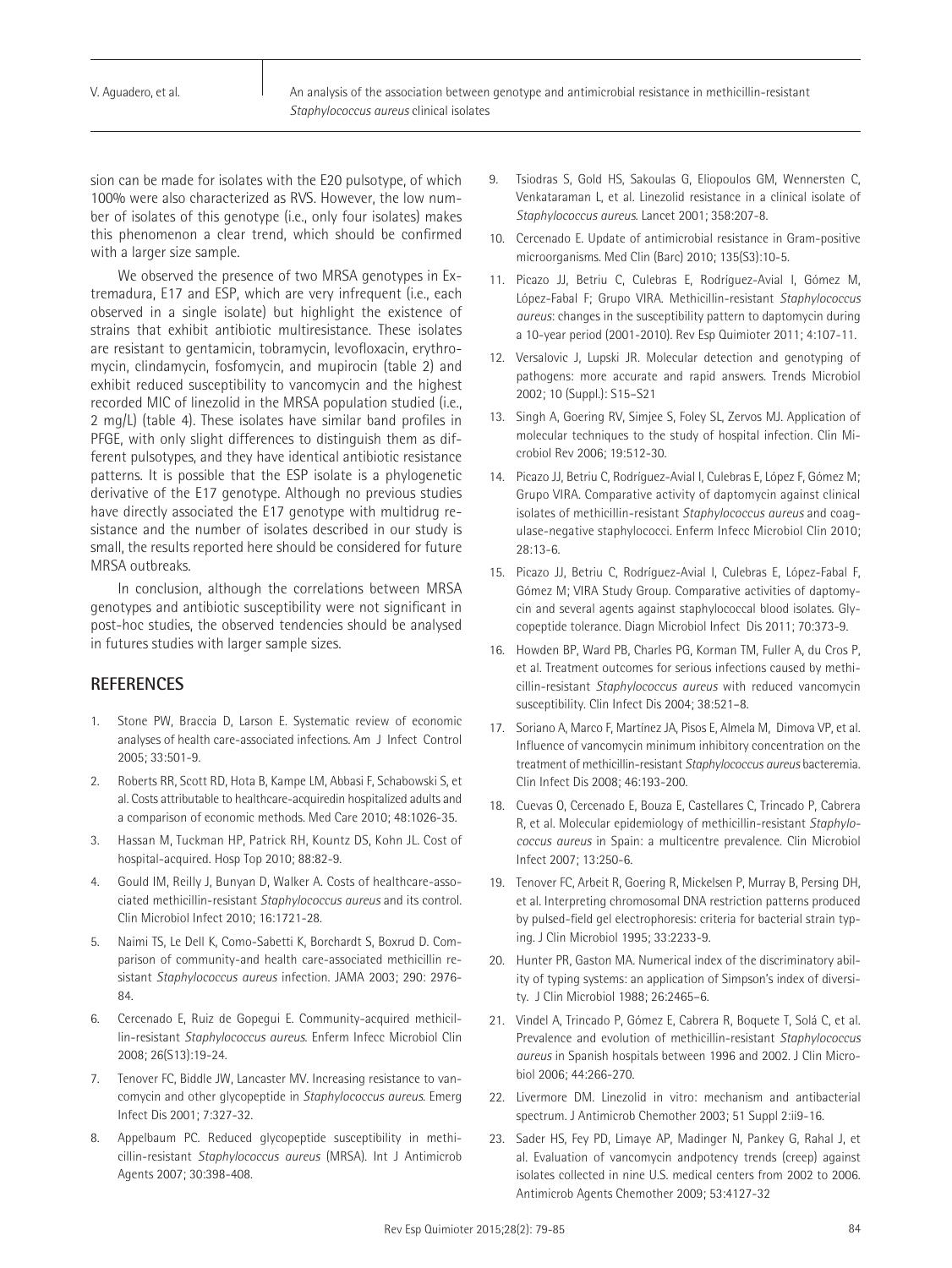sion can be made for isolates with the E20 pulsotype, of which 100% were also characterized as RVS. However, the low number of isolates of this genotype (i.e., only four isolates) makes this phenomenon a clear trend, which should be confirmed with a larger size sample.

We observed the presence of two MRSA genotypes in Extremadura, E17 and ESP, which are very infrequent (i.e., each observed in a single isolate) but highlight the existence of strains that exhibit antibiotic multiresistance. These isolates are resistant to gentamicin, tobramycin, levofloxacin, erythromycin, clindamycin, fosfomycin, and mupirocin (table 2) and exhibit reduced susceptibility to vancomycin and the highest recorded MIC of linezolid in the MRSA population studied (i.e., 2 mg/L) (table 4). These isolates have similar band profiles in PFGE, with only slight differences to distinguish them as different pulsotypes, and they have identical antibiotic resistance patterns. It is possible that the ESP isolate is a phylogenetic derivative of the E17 genotype. Although no previous studies have directly associated the E17 genotype with multidrug resistance and the number of isolates described in our study is small, the results reported here should be considered for future MRSA outbreaks.

In conclusion, although the correlations between MRSA genotypes and antibiotic susceptibility were not significant in post-hoc studies, the observed tendencies should be analysed in futures studies with larger sample sizes.

# **REFERENCES**

- 1. Stone PW, Braccia D, Larson E. Systematic review of economic analyses of health care-associated infections. Am J Infect Control 2005; 33:501-9.
- 2. Roberts RR, Scott RD, Hota B, Kampe LM, Abbasi F, Schabowski S, et al. Costs attributable to healthcare-acquiredin hospitalized adults and a comparison of economic methods. Med Care 2010; 48:1026-35.
- 3. Hassan M, Tuckman HP, Patrick RH, Kountz DS, Kohn JL. Cost of hospital-acquired. Hosp Top 2010; 88:82-9.
- 4. Gould IM, Reilly J, Bunyan D, Walker A. Costs of healthcare-associated methicillin-resistant *Staphylococcus aureus* and its control. Clin Microbiol Infect 2010; 16:1721-28.
- 5. Naimi TS, Le Dell K, Como-Sabetti K, Borchardt S, Boxrud D. Comparison of community-and health care-associated methicillin resistant *Staphylococcus aureus* infection. JAMA 2003; 290: 2976- 84.
- 6. Cercenado E, Ruiz de Gopegui E. Community-acquired methicillin-resistant *Staphylococcus aureus*. Enferm Infecc Microbiol Clin 2008; 26(S13):19-24.
- 7. Tenover FC, Biddle JW, Lancaster MV. Increasing resistance to vancomycin and other glycopeptide in *Staphylococcus aureus.* Emerg Infect Dis 2001; 7:327-32.
- 8. Appelbaum PC. Reduced glycopeptide susceptibility in methicillin-resistant *Staphylococcus aureus* (MRSA). Int J Antimicrob Agents 2007; 30:398-408.
- 9. Tsiodras S, Gold HS, Sakoulas G, Eliopoulos GM, Wennersten C, Venkataraman L, et al. Linezolid resistance in a clinical isolate of *Staphylococcus aureus.* Lancet 2001; 358:207-8.
- 10. Cercenado E. Update of antimicrobial resistance in Gram-positive microorganisms. Med Clin (Barc) 2010; 135(S3):10-5.
- 11. Picazo JJ, Betriu C, Culebras E, Rodríguez-Avial I, Gómez M, López-Fabal F; Grupo VIRA. Methicillin-resistant *Staphylococcus aureus*: changes in the susceptibility pattern to daptomycin during a 10-year period (2001-2010). Rev Esp Quimioter 2011; 4:107-11.
- 12. Versalovic J, Lupski JR. Molecular detection and genotyping of pathogens: more accurate and rapid answers. Trends Microbiol 2002; 10 (Suppl.): S15–S21
- 13. Singh A, Goering RV, Simjee S, Foley SL, Zervos MJ. Application of molecular techniques to the study of hospital infection. Clin Microbiol Rev 2006; 19:512-30.
- 14. Picazo JJ, Betriu C, Rodríguez-Avial I, Culebras E, López F, Gómez M; Grupo VIRA. Comparative activity of daptomycin against clinical isolates of methicillin-resistant *Staphylococcus aureus* and coagulase-negative staphylococci. Enferm Infecc Microbiol Clin 2010; 28:13-6.
- 15. Picazo JJ, Betriu C, Rodríguez-Avial I, Culebras E, López-Fabal F, Gómez M; VIRA Study Group. Comparative activities of daptomycin and several agents against staphylococcal blood isolates. Glycopeptide tolerance. Diagn Microbiol Infect Dis 2011; 70:373-9.
- 16. Howden BP, Ward PB, Charles PG, Korman TM, Fuller A, du Cros P, et al. Treatment outcomes for serious infections caused by methicillin-resistant *Staphylococcus aureus* with reduced vancomycin susceptibility. Clin Infect Dis 2004; 38:521–8.
- 17. Soriano A, Marco F, Martínez JA, Pisos E, Almela M, Dimova VP, et al. Influence of vancomycin minimum inhibitory concentration on the treatment of methicillin-resistant *Staphylococcus aureus* bacteremia. Clin Infect Dis 2008; 46:193-200.
- 18. Cuevas O, Cercenado E, Bouza E, Castellares C, Trincado P, Cabrera R, et al. Molecular epidemiology of methicillin-resistant *Staphylococcus aureus* in Spain: a multicentre prevalence. Clin Microbiol Infect 2007; 13:250-6.
- 19. Tenover FC, Arbeit R, Goering R, Mickelsen P, Murray B, Persing DH, et al. Interpreting chromosomal DNA restriction patterns produced by pulsed-field gel electrophoresis: criteria for bacterial strain typing. J Clin Microbiol 1995; 33:2233-9.
- 20. Hunter PR, Gaston MA. Numerical index of the discriminatory ability of typing systems: an application of Simpson's index of diversity. J Clin Microbiol 1988; 26:2465–6.
- 21. Vindel A, Trincado P, Gómez E, Cabrera R, Boquete T, Solá C, et al. Prevalence and evolution of methicillin-resistant *Staphylococcus aureus* in Spanish hospitals between 1996 and 2002. J Clin Microbiol 2006; 44:266-270.
- 22. Livermore DM. Linezolid in vitro: mechanism and antibacterial spectrum. J Antimicrob Chemother 2003; 51 Suppl 2:ii9-16.
- 23. Sader HS, Fey PD, Limaye AP, Madinger N, Pankey G, Rahal J, et al. Evaluation of vancomycin andpotency trends (creep) against isolates collected in nine U.S. medical centers from 2002 to 2006. Antimicrob Agents Chemother 2009; 53:4127-32